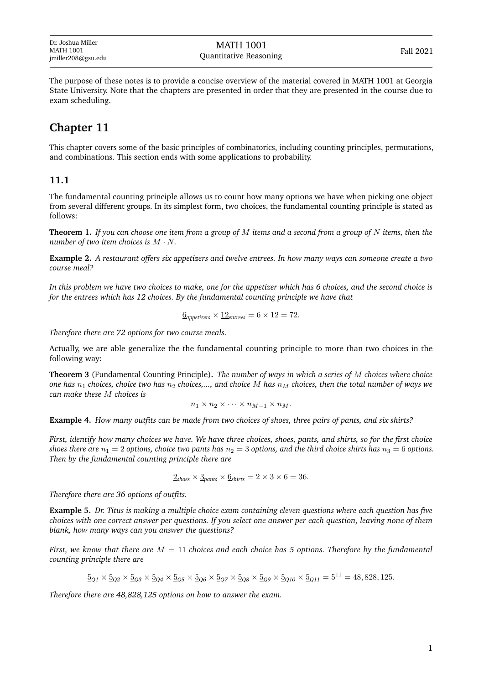The purpose of these notes is to provide a concise overview of the material covered in MATH 1001 at Georgia State University. Note that the chapters are presented in order that they are presented in the course due to exam scheduling.

# **Chapter 11**

This chapter covers some of the basic principles of combinatorics, including counting principles, permutations, and combinations. This section ends with some applications to probability.

## **11.1**

The fundamental counting principle allows us to count how many options we have when picking one object from several different groups. In its simplest form, two choices, the fundamental counting principle is stated as follows:

**Theorem 1.** *If you can choose one item from a group of* M *items and a second from a group of* N *items, then the number of two item choices is* M · N*.*

**Example 2.** *A restaurant offers six appetizers and twelve entrees. In how many ways can someone create a two course meal?*

*In this problem we have two choices to make, one for the appetizer which has 6 choices, and the second choice is for the entrees which has 12 choices. By the fundamental counting principle we have that*

$$
\underline{6}_{\text{appetizers}} \times \underline{12}_{\text{entrees}} = 6 \times 12 = 72.
$$

*Therefore there are 72 options for two course meals.*

Actually, we are able generalize the the fundamental counting principle to more than two choices in the following way:

**Theorem 3** (Fundamental Counting Principle)**.** *The number of ways in which a series of* M *choices where choice one has*  $n_1$  *choices, choice two has*  $n_2$  *choices,..., and choice* M *has*  $n_M$  *choices, then the total number of ways we can make these* M *choices is*

$$
n_1 \times n_2 \times \cdots \times n_{M-1} \times n_M.
$$

**Example 4.** *How many outfits can be made from two choices of shoes, three pairs of pants, and six shirts?*

*First, identify how many choices we have. We have three choices, shoes, pants, and shirts, so for the first choice shoes there are*  $n_1 = 2$  *options, choice two pants has*  $n_2 = 3$  *options, and the third choice shirts has*  $n_3 = 6$  *options. Then by the fundamental counting principle there are*

$$
\underline{2}_{\text{shoes}} \times \underline{3}_{\text{pants}} \times \underline{6}_{\text{shirts}} = 2 \times 3 \times 6 = 36.
$$

*Therefore there are 36 options of outfits.*

**Example 5.** *Dr. Titus is making a multiple choice exam containing eleven questions where each question has five choices with one correct answer per questions. If you select one answer per each question, leaving none of them blank, how many ways can you answer the questions?*

*First, we know that there are* M = 11 *choices and each choice has 5 options. Therefore by the fundamental counting principle there are*

$$
\underline{5}_{Q1} \times \underline{5}_{Q2} \times \underline{5}_{Q3} \times \underline{5}_{Q4} \times \underline{5}_{Q5} \times \underline{5}_{Q6} \times \underline{5}_{Q7} \times \underline{5}_{Q8} \times \underline{5}_{Q9} \times \underline{5}_{Q10} \times \underline{5}_{Q11} = 5^{11} = 48,828,125.
$$

*Therefore there are 48,828,125 options on how to answer the exam.*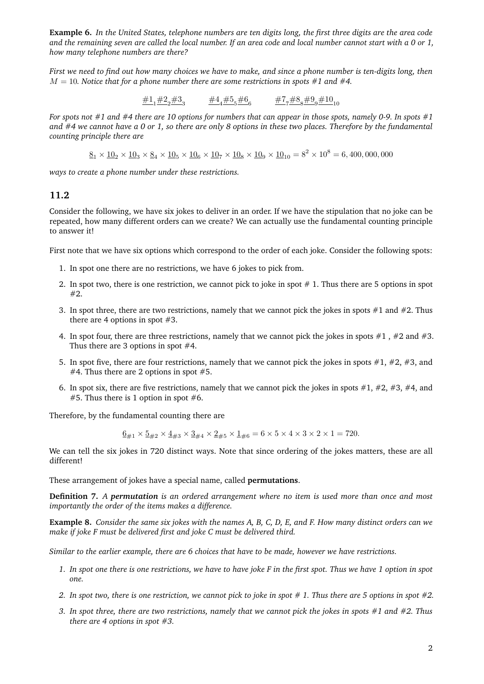**Example 6.** *In the United States, telephone numbers are ten digits long, the first three digits are the area code and the remaining seven are called the local number. If an area code and local number cannot start with a 0 or 1, how many telephone numbers are there?*

*First we need to find out how many choices we have to make, and since a phone number is ten-digits long, then*  $M = 10$ . Notice that for a phone number there are some restrictions in spots #1 and #4.

$$
\underline{\#1}_1\underline{\#2}_2\underline{\#3}_3 \qquad \underline{\#4}_4\underline{\#5}_5\underline{\#6}_6 \qquad \underline{\#7}_7\underline{\#8}_8\underline{\#9}_9\underline{\#10}_{10}
$$

*For spots not #1 and #4 there are 10 options for numbers that can appear in those spots, namely 0-9. In spots #1 and #4 we cannot have a 0 or 1, so there are only 8 options in these two places. Therefore by the fundamental counting principle there are*

 $8_1 \times 10_2 \times 10_3 \times 8_4 \times 10_5 \times 10_6 \times 10_7 \times 10_8 \times 10_9 \times 10_{10} = 8^2 \times 10^8 = 6,400,000,000$ 

*ways to create a phone number under these restrictions.*

## **11.2**

Consider the following, we have six jokes to deliver in an order. If we have the stipulation that no joke can be repeated, how many different orders can we create? We can actually use the fundamental counting principle to answer it!

First note that we have six options which correspond to the order of each joke. Consider the following spots:

- 1. In spot one there are no restrictions, we have 6 jokes to pick from.
- 2. In spot two, there is one restriction, we cannot pick to joke in spot  $# 1$ . Thus there are 5 options in spot #2.
- 3. In spot three, there are two restrictions, namely that we cannot pick the jokes in spots  $#1$  and  $#2$ . Thus there are 4 options in spot #3.
- 4. In spot four, there are three restrictions, namely that we cannot pick the jokes in spots  $#1$ ,  $#2$  and  $#3$ . Thus there are 3 options in spot  $#4$ .
- 5. In spot five, there are four restrictions, namely that we cannot pick the jokes in spots  $\#1, \#2, \#3$ , and  $#4$ . Thus there are 2 options in spot  $#5$ .
- 6. In spot six, there are five restrictions, namely that we cannot pick the jokes in spots  $\#1$ ,  $\#2$ ,  $\#3$ ,  $\#4$ , and  $#5$ . Thus there is 1 option in spot  $#6$ .

Therefore, by the fundamental counting there are

$$
\underline{6}_{\#1} \times \underline{5}_{\#2} \times \underline{4}_{\#3} \times \underline{3}_{\#4} \times \underline{2}_{\#5} \times \underline{1}_{\#6} = 6 \times 5 \times 4 \times 3 \times 2 \times 1 = 720.
$$

We can tell the six jokes in 720 distinct ways. Note that since ordering of the jokes matters, these are all different!

These arrangement of jokes have a special name, called **permutations**.

**Definition 7.** *A permutation is an ordered arrangement where no item is used more than once and most importantly the order of the items makes a difference.*

**Example 8.** *Consider the same six jokes with the names A, B, C, D, E, and F. How many distinct orders can we make if joke F must be delivered first and joke C must be delivered third.*

*Similar to the earlier example, there are 6 choices that have to be made, however we have restrictions.*

- *1. In spot one there is one restrictions, we have to have joke F in the first spot. Thus we have 1 option in spot one.*
- *2. In spot two, there is one restriction, we cannot pick to joke in spot # 1. Thus there are 5 options in spot #2.*
- *3. In spot three, there are two restrictions, namely that we cannot pick the jokes in spots #1 and #2. Thus there are 4 options in spot #3.*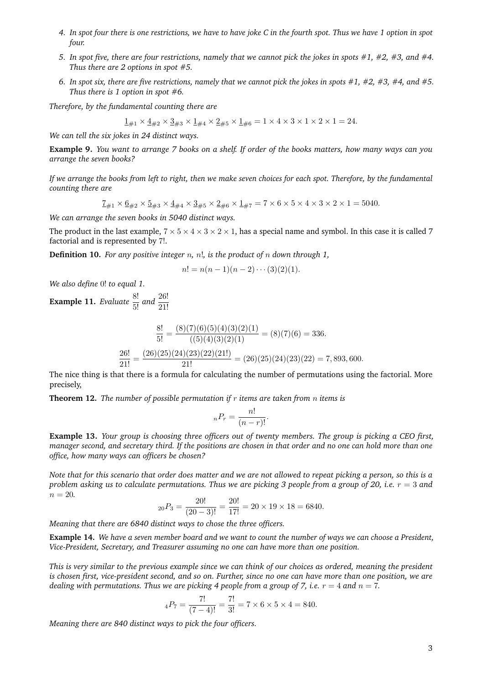- *4. In spot four there is one restrictions, we have to have joke C in the fourth spot. Thus we have 1 option in spot four.*
- *5. In spot five, there are four restrictions, namely that we cannot pick the jokes in spots #1, #2, #3, and #4. Thus there are 2 options in spot #5.*
- *6. In spot six, there are five restrictions, namely that we cannot pick the jokes in spots #1, #2, #3, #4, and #5. Thus there is 1 option in spot #6.*

*Therefore, by the fundamental counting there are*

$$
1_{\#1} \times 4_{\#2} \times 3_{\#3} \times 1_{\#4} \times 2_{\#5} \times 1_{\#6} = 1 \times 4 \times 3 \times 1 \times 2 \times 1 = 24.
$$

*We can tell the six jokes in 24 distinct ways.*

**Example 9.** *You want to arrange 7 books on a shelf. If order of the books matters, how many ways can you arrange the seven books?*

*If we arrange the books from left to right, then we make seven choices for each spot. Therefore, by the fundamental counting there are*

 $7_{\#1} \times 6_{\#2} \times 5_{\#3} \times 4_{\#4} \times 3_{\#5} \times 2_{\#6} \times 1_{\#7} = 7 \times 6 \times 5 \times 4 \times 3 \times 2 \times 1 = 5040.$ 

*We can arrange the seven books in 5040 distinct ways.*

The product in the last example,  $7 \times 5 \times 4 \times 3 \times 2 \times 1$ , has a special name and symbol. In this case it is called 7 factorial and is represented by 7!.

**Definition 10.** *For any positive integer* n*,* n!*, is the product of* n *down through 1,*

$$
n! = n(n-1)(n-2)\cdots(3)(2)(1).
$$

*We also define* 0! *to equal 1.*

**Example 11.** *Evaluate*  $\frac{8!}{5!}$  *and*  $\frac{26!}{21!}$ 

$$
\frac{8!}{5!} = \frac{(8)(7)(6)(5)(4)(3)(2)(1)}{(5)(4)(3)(2)(1)} = (8)(7)(6) = 336.
$$

$$
\frac{26!}{21!} = \frac{(26)(25)(24)(23)(22)(211)}{21!} = (26)(25)(24)(23)(22) = 7,893,600.
$$

The nice thing is that there is a formula for calculating the number of permutations using the factorial. More precisely,

**Theorem 12.** *The number of possible permutation if* r *items are taken from* n *items is*

$$
{}_{n}P_{r} = \frac{n!}{(n-r)!}.
$$

**Example 13.** *Your group is choosing three officers out of twenty members. The group is picking a CEO first, manager second, and secretary third. If the positions are chosen in that order and no one can hold more than one office, how many ways can officers be chosen?*

*Note that for this scenario that order does matter and we are not allowed to repeat picking a person, so this is a problem asking us to calculate permutations. Thus we are picking 3 people from a group of 20, i.e.*  $r = 3$  *and*  $n = 20$ .

$$
{}_{20}P_3 = \frac{20!}{(20-3)!} = \frac{20!}{17!} = 20 \times 19 \times 18 = 6840.
$$

*Meaning that there are 6840 distinct ways to chose the three officers.*

**Example 14.** *We have a seven member board and we want to count the number of ways we can choose a President, Vice-President, Secretary, and Treasurer assuming no one can have more than one position.*

*This is very similar to the previous example since we can think of our choices as ordered, meaning the president is chosen first, vice-president second, and so on. Further, since no one can have more than one position, we are dealing with permutations. Thus we are picking 4 people from a group of 7, i.e.*  $r = 4$  *and*  $n = 7$ .

$$
_4P_7 = \frac{7!}{(7-4)!} = \frac{7!}{3!} = 7 \times 6 \times 5 \times 4 = 840.
$$

*Meaning there are 840 distinct ways to pick the four officers.*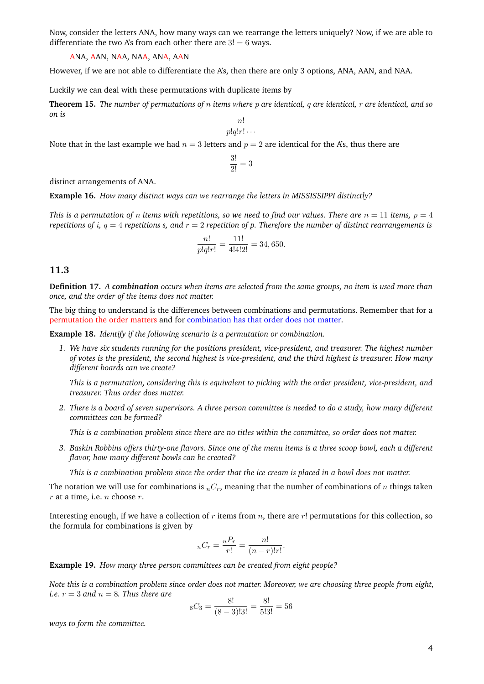Now, consider the letters ANA, how many ways can we rearrange the letters uniquely? Now, if we are able to differentiate the two A's from each other there are  $3! = 6$  ways.

ANA, AAN, NAA, NAA, ANA, AAN

However, if we are not able to differentiate the A's, then there are only 3 options, ANA, AAN, and NAA.

Luckily we can deal with these permutations with duplicate items by

**Theorem 15.** *The number of permutations of* n *items where* p *are identical,* q *are identical,* r *are identical, and so on is*

$$
\frac{n!}{p!q!r!\cdots}
$$

Note that in the last example we had  $n = 3$  letters and  $p = 2$  are identical for the A's, thus there are

$$
\frac{3!}{2!} = 3
$$

distinct arrangements of ANA.

**Example 16.** *How many distinct ways can we rearrange the letters in MISSISSIPPI distinctly?*

*This is a permutation of n items with repetitions, so we need to find our values. There are*  $n = 11$  *items,*  $p = 4$ *repetitions of* i*,* q = 4 *repetitions s, and* r = 2 *repetition of p. Therefore the number of distinct rearrangements is*

$$
\frac{n!}{p!q!r!} = \frac{11!}{4!4!2!} = 34,650.
$$

### **11.3**

**Definition 17.** *A combination occurs when items are selected from the same groups, no item is used more than once, and the order of the items does not matter.*

The big thing to understand is the differences between combinations and permutations. Remember that for a permutation the order matters and for combination has that order does not matter.

**Example 18.** *Identify if the following scenario is a permutation or combination.*

*1. We have six students running for the positions president, vice-president, and treasurer. The highest number of votes is the president, the second highest is vice-president, and the third highest is treasurer. How many different boards can we create?*

*This is a permutation, considering this is equivalent to picking with the order president, vice-president, and treasurer. Thus order does matter.*

*2. There is a board of seven supervisors. A three person committee is needed to do a study, how many different committees can be formed?*

*This is a combination problem since there are no titles within the committee, so order does not matter.*

*3. Baskin Robbins offers thirty-one flavors. Since one of the menu items is a three scoop bowl, each a different flavor, how many different bowls can be created?*

*This is a combination problem since the order that the ice cream is placed in a bowl does not matter.*

The notation we will use for combinations is  $nC_r$ , meaning that the number of combinations of n things taken  $r$  at a time, i.e.  $n$  choose  $r$ .

Interesting enough, if we have a collection of  $r$  items from  $n$ , there are  $r!$  permutations for this collection, so the formula for combinations is given by

$$
{}_{n}C_{r} = \frac{{}_{n}P_{r}}{r!} = \frac{n!}{(n-r)!r!}.
$$

**Example 19.** *How many three person committees can be created from eight people?*

*Note this is a combination problem since order does not matter. Moreover, we are choosing three people from eight, i.e.*  $r = 3$  *and*  $n = 8$ *. Thus there are* 

$$
{}_{8}C_{3} = \frac{8!}{(8-3)!3!} = \frac{8!}{5!3!} = 56
$$

*ways to form the committee.*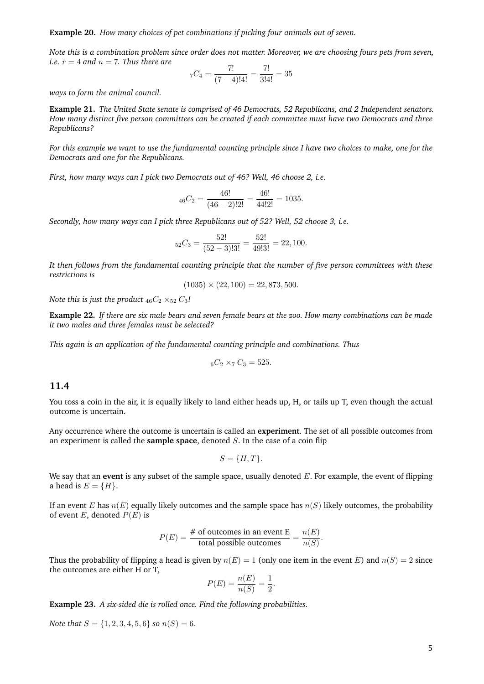**Example 20.** *How many choices of pet combinations if picking four animals out of seven.*

*Note this is a combination problem since order does not matter. Moreover, we are choosing fours pets from seven, i.e.*  $r = 4$  *and*  $n = 7$ *. Thus there are*  $\overline{7}$  $\overline{7}$ 

$$
{}_{7}C_{4} = \frac{7!}{(7-4)!4!} = \frac{7!}{3!4!} = 35
$$

*ways to form the animal council.*

**Example 21.** *The United State senate is comprised of 46 Democrats, 52 Republicans, and 2 Independent senators. How many distinct five person committees can be created if each committee must have two Democrats and three Republicans?*

*For this example we want to use the fundamental counting principle since I have two choices to make, one for the Democrats and one for the Republicans.*

*First, how many ways can I pick two Democrats out of 46? Well, 46 choose 2, i.e.*

$$
_{46}C_2 = \frac{46!}{(46-2)!2!} = \frac{46!}{44!2!} = 1035.
$$

*Secondly, how many ways can I pick three Republicans out of 52? Well, 52 choose 3, i.e.*

$$
{}_{52}C_3 = \frac{52!}{(52-3)!3!} = \frac{52!}{49!3!} = 22,100.
$$

*It then follows from the fundamental counting principle that the number of five person committees with these restrictions is*

$$
(1035) \times (22, 100) = 22,873,500.
$$

*Note this is just the product*  $_{46}C_2 \times_{52} C_3$ *!* 

**Example 22.** *If there are six male bears and seven female bears at the zoo. How many combinations can be made it two males and three females must be selected?*

*This again is an application of the fundamental counting principle and combinations. Thus*

$$
{}_{6}C_{2} \times {}_{7}C_{3} = 525.
$$

#### **11.4**

You toss a coin in the air, it is equally likely to land either heads up, H, or tails up T, even though the actual outcome is uncertain.

Any occurrence where the outcome is uncertain is called an **experiment**. The set of all possible outcomes from an experiment is called the **sample space**, denoted S. In the case of a coin flip

$$
S = \{H, T\}.
$$

We say that an **event** is any subset of the sample space, usually denoted E. For example, the event of flipping a head is  $E = \{H\}.$ 

If an event E has  $n(E)$  equally likely outcomes and the sample space has  $n(S)$  likely outcomes, the probability of event E, denoted  $P(E)$  is

$$
P(E) = \frac{\text{\# of outcomes in an event E}}{\text{total possible outcomes}} = \frac{n(E)}{n(S)}.
$$

Thus the probability of flipping a head is given by  $n(E) = 1$  (only one item in the event E) and  $n(S) = 2$  since the outcomes are either H or T,

$$
P(E) = \frac{n(E)}{n(S)} = \frac{1}{2}.
$$

**Example 23.** *A six-sided die is rolled once. Find the following probabilities.*

*Note that*  $S = \{1, 2, 3, 4, 5, 6\}$  *so*  $n(S) = 6$ *.*